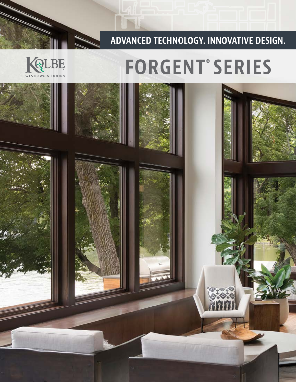## **ADVANCED TECHNOLOGY. INNOVATIVE DESIGN.**

# **FORGENT**® **SERIES**



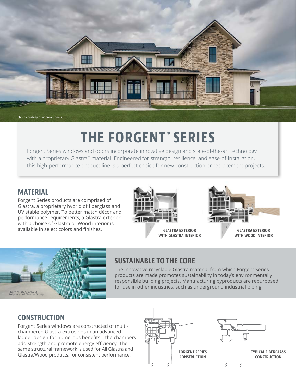

# **THE FORGENT ® SERIES**

Forgent Series windows and doors incorporate innovative design and state-of-the-art technology with a proprietary Glastra® material. Engineered for strength, resilience, and ease-of-installation, this high-performance product line is a perfect choice for new construction or replacement projects.

#### **MATERIAL**

Forgent Series products are comprised of Glastra, a proprietary hybrid of fiberglass and UV stable polymer. To better match décor and performance requirements, a Glastra exterior with a choice of Glastra or Wood interior is available in select colors and finishes.



**GLASTRA EXTERIOR WITH GLASTRA INTERIOR**







### **SUSTAINABLE TO THE CORE**

The innovative recyclable Glastra material from which Forgent Series products are made promotes sustainability in today's environmentally responsible building projects. Manufacturing byproducts are repurposed for use in other industries, such as underground industrial piping.

### **CONSTRUCTION**

Forgent Series windows are constructed of multichambered Glastra extrusions in an advanced ladder design for numerous benefits - the chambers add strength and promote energy efficiency. The same structural framework is used for All Glastra and Glastra/Wood products, for consistent performance.



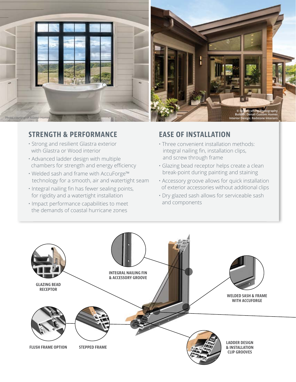

#### **STRENGTH & PERFORMANCE EASE OF INSTALLATION**

- Strong and resilient Glastra exterior with Glastra or Wood interior
- Advanced ladder design with multiple chambers for strength and energy efficiency
- Welded sash and frame with AccuForge™ technology for a smooth, air and watertight seam
- Integral nailing fin has fewer sealing points, for rigidity and a watertight installation
- Impact performance capabilities to meet the demands of coastal hurricane zones

- Three convenient installation methods: integral nailing fin, installation clips, and screw through frame
- Glazing bead receptor helps create a clean break-point during painting and staining
- Accessory groove allows for quick installation of exterior accessories without additional clips
- Dry glazed sash allows for serviceable sash and components

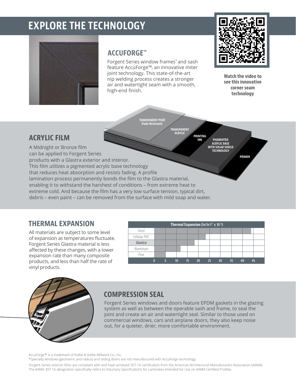# **EXPLORE THE TECHNOLOGY**



#### **ACCUFORGE™**

Forgent Series window frames\* and sash feature AccuForge™, an innovative miter joint technology. This state-of-the-art nip welding process creates a stronger air and watertight seam with a smooth, high-end finish.

 **TRANSPARENT PVDF (Fade Resistant)**

 **TRANSPARENT ACRYLIC**

**PRINTING INK**



**Watch the video to see this innovative corner seam technology**

**PRIMER**

**PIGMENTED**

#### **ACRYLIC FILM**

**ACRYLIC BASE WITH SOLAR SHIELD TECHNOLOGY**  A Midnight or Bronze film can be applied to Forgent Series products with a Glastra exterior and interior. This film utilizes a pigmented acrylic base technology that reduces heat absorption and resists fading. A profile lamination process permanently bonds the film to the Glastra material, enabling it to withstand the harshest of conditions – from extreme heat to extreme cold. And because the film has a very low surface tension, typical dirt, debris – even paint – can be removed from the surface with mild soap and water.

#### **THERMAL EXPANSION**

All materials are subject to some level of expansion as temperatures fluctuate. Forgent Series Glastra material is less affected by these changes, with a lower expansion rate than many composite products, and less than half the rate of vinyl products.

| <b>Thermal Expansion</b> ( $\ln/\ln F$ ° x 10 <sup>-6</sup> ) |   |  |                 |    |    |        |    |    |    |  |
|---------------------------------------------------------------|---|--|-----------------|----|----|--------|----|----|----|--|
| Vinyl                                                         |   |  |                 |    |    |        |    |    |    |  |
| Cellular PVC                                                  |   |  |                 |    |    |        |    |    |    |  |
| Glastra                                                       |   |  |                 |    |    |        |    |    |    |  |
| Aluminum                                                      |   |  |                 |    |    |        |    |    |    |  |
| Pine                                                          |   |  |                 |    |    |        |    |    |    |  |
|                                                               | n |  | 10 <sup>°</sup> | 15 | 20 | $-252$ | 30 | 35 | 40 |  |



### **COMPRESSION SEAL**

Forgent Series windows and doors feature EPDM gaskets in the glazing system as well as between the operable sash and frame, to seal the joint and create an air and watertight seal. Similar to those used on commercial windows, cars and airplane doors, they also keep noise out, for a quieter, drier, more comfortable environment.

AccuForge™ is a trademark of Kolbe & Kolbe Millwork Co., Inc.

\*Specialty windows (geometric and radius) and sliding doors are not manufactured with AccuForge technology.

Forgent Series exterior films are compliant with and have achieved 307-16 certification from the American Architectural Manufacturers Association (AAMA). The AAMA 307-16 designation specifically refers to Voluntary Specifications for Laminates Intended for Use on AAMA Certified Profiles.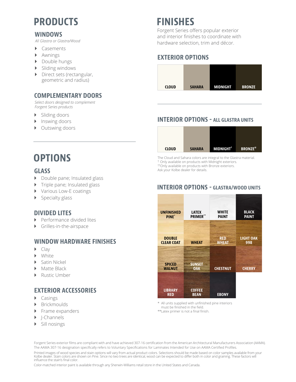# **PRODUCTS FINISHES**

#### **WINDOWS**

*All Glastra or Glastra/Wood*

- Casements
- **Awnings**
- **Double hungs**
- $\triangleright$  Sliding windows
- Direct sets (rectangular, geometric and radius)

#### **COMPLEMENTARY DOORS**

*Select doors designed to complement Forgent Series products*

- **>** Sliding doors
- **I** Inswing doors
- Outswing doors

## **OPTIONS**

#### **GLASS**

- Double pane; Insulated glass
- ` Triple pane; Insulated glass
- **Various Low-E coatings**
- Specialty glass

#### **DIVIDED LITES**

- **Performance divided lites**
- ` Grilles-in-the-airspace

#### **WINDOW HARDWARE FINISHES**

- $\blacktriangleright$  Clav
- **White**
- ` Satin Nickel
- Matte Black
- **Rustic Umber**

#### **EXTERIOR ACCESSORIES**

- $\triangleright$  Casings
- **Brickmoulds**
- ` Frame expanders
- ` J-Channels
- **>** Sill nosings

Forgent Series offers popular exterior and interior finishes to coordinate with hardware selection, trim and décor.

#### **EXTERIOR OPTIONS**



#### **INTERIOR OPTIONS - ALL GLASTRA UNITS**



The Cloud and Sahara colors are integral to the Glastra material. † Only available on products with Midnight exteriors. ††Only available on products with Bronze exteriors. Ask your Kolbe dealer for details.



#### **INTERIOR OPTIONS - GLASTRA/WOOD UNITS**

All units supplied with unfinished pine interiors must be finished in the field.

\*\*Latex primer is not a final finish.

Printed images of wood species and stain options will vary from actual product colors. Selections should be made based on color samples available from your Forgent Series exterior films are compliant with and have achieved 307-16 certification from the American Architectural Manufacturers Association (AAMA). The AAMA 307-16 designation specifically refers to Voluntary Specifications for Laminates Intended for Use on AAMA Certified Profiles.

Kolbe dealer. Stain colors are shown on Pine. Since no two trees are identical, wood can be expected to differ both in color and graining. These factors will influence the stain's final color.

Color-matched interior paint is available through any Sherwin-Williams retail store in the United States and Canada.